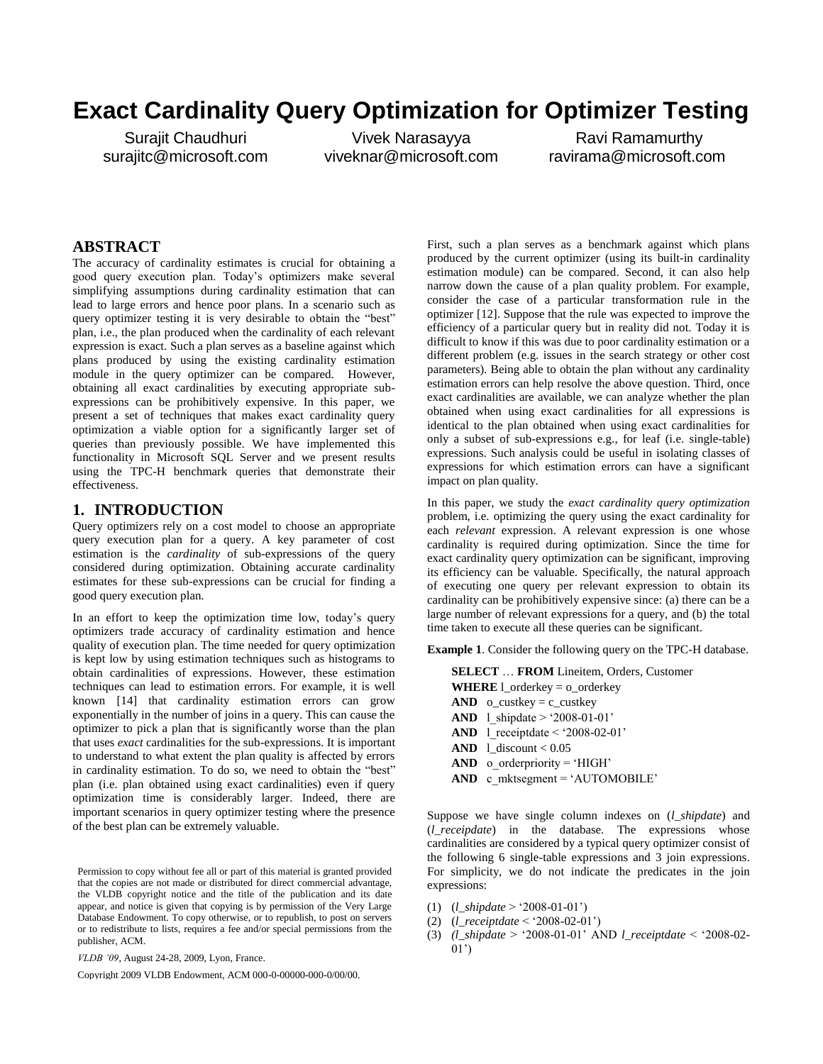# **Exact Cardinality Query Optimization for Optimizer Testing**

Surajit Chaudhuri surajitc@microsoft.com

Vivek Narasayya viveknar@microsoft.com

Ravi Ramamurthy ravirama@microsoft.com

# **ABSTRACT**

The accuracy of cardinality estimates is crucial for obtaining a good query execution plan. Today"s optimizers make several simplifying assumptions during cardinality estimation that can lead to large errors and hence poor plans. In a scenario such as query optimizer testing it is very desirable to obtain the "best" plan, i.e., the plan produced when the cardinality of each relevant expression is exact. Such a plan serves as a baseline against which plans produced by using the existing cardinality estimation module in the query optimizer can be compared. However, obtaining all exact cardinalities by executing appropriate subexpressions can be prohibitively expensive. In this paper, we present a set of techniques that makes exact cardinality query optimization a viable option for a significantly larger set of queries than previously possible. We have implemented this functionality in Microsoft SQL Server and we present results using the TPC-H benchmark queries that demonstrate their effectiveness.

## **1. INTRODUCTION**

Query optimizers rely on a cost model to choose an appropriate query execution plan for a query. A key parameter of cost estimation is the *cardinality* of sub-expressions of the query considered during optimization. Obtaining accurate cardinality estimates for these sub-expressions can be crucial for finding a good query execution plan.

In an effort to keep the optimization time low, today"s query optimizers trade accuracy of cardinality estimation and hence quality of execution plan. The time needed for query optimization is kept low by using estimation techniques such as histograms to obtain cardinalities of expressions. However, these estimation techniques can lead to estimation errors. For example, it is well known [\[14\]](#page-11-0) that cardinality estimation errors can grow exponentially in the number of joins in a query. This can cause the optimizer to pick a plan that is significantly worse than the plan that uses *exact* cardinalities for the sub-expressions. It is important to understand to what extent the plan quality is affected by errors in cardinality estimation. To do so, we need to obtain the "best" plan (i.e. plan obtained using exact cardinalities) even if query optimization time is considerably larger. Indeed, there are important scenarios in query optimizer testing where the presence of the best plan can be extremely valuable.

Permission to copy without fee all or part of this material is granted provided that the copies are not made or distributed for direct commercial advantage, the VLDB copyright notice and the title of the publication and its date appear, and notice is given that copying is by permission of the Very Large Database Endowment. To copy otherwise, or to republish, to post on servers or to redistribute to lists, requires a fee and/or special permissions from the publisher, ACM.

*VLDB '09*, August 24-28, 2009, Lyon, France.

Copyright 2009 VLDB Endowment, ACM 000-0-00000-000-0/00/00.

First, such a plan serves as a benchmark against which plans produced by the current optimizer (using its built-in cardinality estimation module) can be compared. Second, it can also help narrow down the cause of a plan quality problem. For example, consider the case of a particular transformation rule in the optimizer [\[12\].](#page-11-1) Suppose that the rule was expected to improve the efficiency of a particular query but in reality did not. Today it is difficult to know if this was due to poor cardinality estimation or a different problem (e.g. issues in the search strategy or other cost parameters). Being able to obtain the plan without any cardinality estimation errors can help resolve the above question. Third, once exact cardinalities are available, we can analyze whether the plan obtained when using exact cardinalities for all expressions is identical to the plan obtained when using exact cardinalities for only a subset of sub-expressions e.g., for leaf (i.e. single-table) expressions. Such analysis could be useful in isolating classes of expressions for which estimation errors can have a significant impact on plan quality.

In this paper, we study the *exact cardinality query optimization* problem, i.e. optimizing the query using the exact cardinality for each *relevant* expression. A relevant expression is one whose cardinality is required during optimization. Since the time for exact cardinality query optimization can be significant, improving its efficiency can be valuable. Specifically, the natural approach of executing one query per relevant expression to obtain its cardinality can be prohibitively expensive since: (a) there can be a large number of relevant expressions for a query, and (b) the total time taken to execute all these queries can be significant.

**Example 1**. Consider the following query on the TPC-H database.

**SELECT** … **FROM** Lineitem, Orders, Customer **WHERE** l\_orderkey = o\_orderkey **AND** o\_custkey = c\_custkey **AND** 1 shipdate >  $'2008-01-01'$ **AND** 1 receiptdate  $\le$  "2008-02-01" **AND** l\_discount < 0.05 **AND** o orderpriority =  $HIGH$  $AND \ c \ mktsegment = 'AUTOMOBILE'$ 

Suppose we have single column indexes on (*l\_shipdate*) and  $(l \text{ } receivedate)$  in the database. The expressions whose cardinalities are considered by a typical query optimizer consist of the following 6 single-table expressions and 3 join expressions. For simplicity, we do not indicate the predicates in the join expressions:

- (1) (*l\_shipdate* > "2008-01-01")
- (2) (*l\_receiptdate* < "2008-02-01")
- (3) *(l\_shipdate* > "2008-01-01" AND *l\_receiptdate* < "2008-02-  $01'$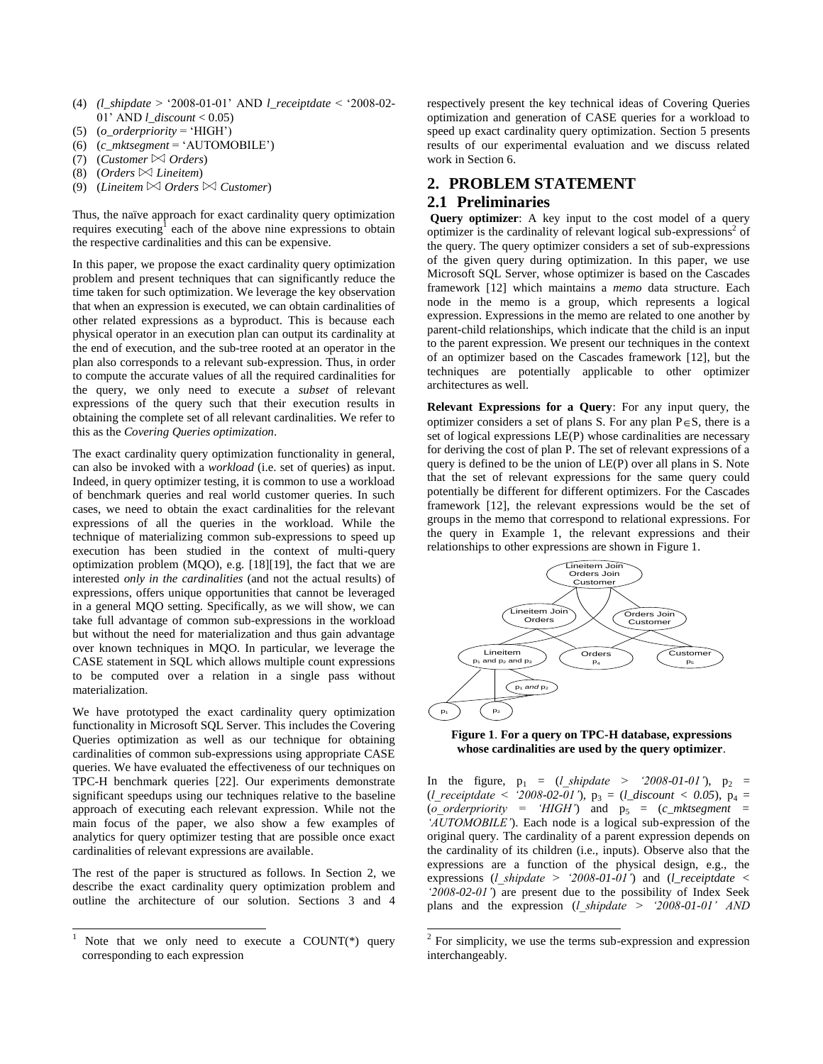- (4) *(l\_shipdate* > "2008-01-01" AND *l\_receiptdate* < "2008-02- 01" AND *l\_discount* < 0.05)
- (5) (*o\_orderpriority* = "HIGH")
- (6) (*c\_mktsegment* = "AUTOMOBILE")
- (7) (*Customer Orders*)
- (8) (*Orders Lineitem*)
- (9) (*Lineitem Orders Customer*)

Thus, the naïve approach for exact cardinality query optimization requires executing<sup>1</sup> each of the above nine expressions to obtain the respective cardinalities and this can be expensive.

In this paper, we propose the exact cardinality query optimization problem and present techniques that can significantly reduce the time taken for such optimization. We leverage the key observation that when an expression is executed, we can obtain cardinalities of other related expressions as a byproduct. This is because each physical operator in an execution plan can output its cardinality at the end of execution, and the sub-tree rooted at an operator in the plan also corresponds to a relevant sub-expression. Thus, in order to compute the accurate values of all the required cardinalities for the query, we only need to execute a *subset* of relevant expressions of the query such that their execution results in obtaining the complete set of all relevant cardinalities. We refer to this as the *Covering Queries optimization*.

The exact cardinality query optimization functionality in general, can also be invoked with a *workload* (i.e. set of queries) as input. Indeed, in query optimizer testing, it is common to use a workload of benchmark queries and real world customer queries. In such cases, we need to obtain the exact cardinalities for the relevant expressions of all the queries in the workload. While the technique of materializing common sub-expressions to speed up execution has been studied in the context of multi-query optimization problem (MQO), e.g. [\[18\]\[19\],](#page-11-2) the fact that we are interested *only in the cardinalities* (and not the actual results) of expressions, offers unique opportunities that cannot be leveraged in a general MQO setting. Specifically, as we will show, we can take full advantage of common sub-expressions in the workload but without the need for materialization and thus gain advantage over known techniques in MQO. In particular, we leverage the CASE statement in SQL which allows multiple count expressions to be computed over a relation in a single pass without materialization.

We have prototyped the exact cardinality query optimization functionality in Microsoft SQL Server. This includes the Covering Queries optimization as well as our technique for obtaining cardinalities of common sub-expressions using appropriate CASE queries. We have evaluated the effectiveness of our techniques on TPC-H benchmark queries [\[22\].](#page-11-3) Our experiments demonstrate significant speedups using our techniques relative to the baseline approach of executing each relevant expression. While not the main focus of the paper, we also show a few examples of analytics for query optimizer testing that are possible once exact cardinalities of relevant expressions are available.

The rest of the paper is structured as follows. In Section 2, we describe the exact cardinality query optimization problem and outline the architecture of our solution. Sections 3 and 4

 $\overline{a}$ 

respectively present the key technical ideas of Covering Queries optimization and generation of CASE queries for a workload to speed up exact cardinality query optimization. Section 5 presents results of our experimental evaluation and we discuss related work in Section 6.

### **2. PROBLEM STATEMENT 2.1 Preliminaries**

**Query optimizer**: A key input to the cost model of a query optimizer is the cardinality of relevant logical sub-expressions<sup>2</sup> of the query. The query optimizer considers a set of sub-expressions of the given query during optimization. In this paper, we use Microsoft SQL Server, whose optimizer is based on the Cascades framework [\[12\]](#page-11-1) which maintains a *memo* data structure. Each node in the memo is a group, which represents a logical expression. Expressions in the memo are related to one another by parent-child relationships, which indicate that the child is an input to the parent expression. We present our techniques in the context of an optimizer based on the Cascades framework [\[12\],](#page-11-1) but the techniques are potentially applicable to other optimizer architectures as well.

**Relevant Expressions for a Query**: For any input query, the optimizer considers a set of plans S. For any plan  $P \in S$ , there is a set of logical expressions LE(P) whose cardinalities are necessary for deriving the cost of plan P. The set of relevant expressions of a query is defined to be the union of LE(P) over all plans in S. Note that the set of relevant expressions for the same query could potentially be different for different optimizers. For the Cascades framework [\[12\],](#page-11-1) the relevant expressions would be the set of groups in the memo that correspond to relational expressions. For the query in Example 1, the relevant expressions and their relationships to other expressions are shown in Figure 1.



**Figure 1**. **For a query on TPC-H database, expressions whose cardinalities are used by the query optimizer**.

In the figure,  $p_1 = (l\_shipdate > '2008-01-01')$ ,  $p_2 =$ (*l* receiptdate < '2008-02-01'),  $p_3 = (l\_discount < 0.05)$ ,  $p_4 =$  $(o\_order priority = 'HIGH')$  and  $p_5 = (c\_mktsegment =$ *'AUTOMOBILE'*). Each node is a logical sub-expression of the original query. The cardinality of a parent expression depends on the cardinality of its children (i.e., inputs). Observe also that the expressions are a function of the physical design, e.g., the expressions (*l\_shipdate > '2008-01-01'*) and (*l\_receiptdate < '2008-02-01'*) are present due to the possibility of Index Seek plans and the expression (*l\_shipdate > '2008-01-01' AND* 

Note that we only need to execute a COUNT $(*)$  query corresponding to each expression

<sup>&</sup>lt;sup>2</sup> For simplicity, we use the terms sub-expression and expression interchangeably.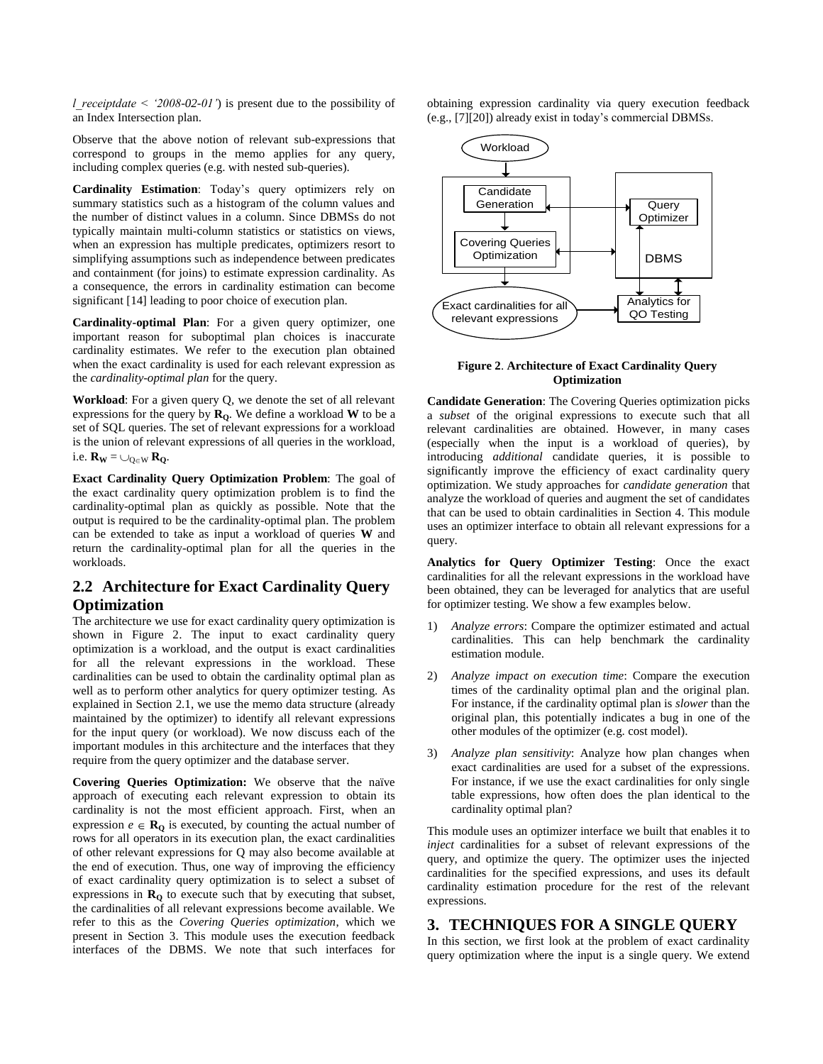*l\_receiptdate < '2008-02-01'*) is present due to the possibility of an Index Intersection plan.

Observe that the above notion of relevant sub-expressions that correspond to groups in the memo applies for any query, including complex queries (e.g. with nested sub-queries).

**Cardinality Estimation**: Today"s query optimizers rely on summary statistics such as a histogram of the column values and the number of distinct values in a column. Since DBMSs do not typically maintain multi-column statistics or statistics on views, when an expression has multiple predicates, optimizers resort to simplifying assumptions such as independence between predicates and containment (for joins) to estimate expression cardinality. As a consequence, the errors in cardinality estimation can become significant [\[14\]](#page-11-0) leading to poor choice of execution plan.

**Cardinality-optimal Plan**: For a given query optimizer, one important reason for suboptimal plan choices is inaccurate cardinality estimates. We refer to the execution plan obtained when the exact cardinality is used for each relevant expression as the *cardinality-optimal plan* for the query.

**Workload**: For a given query Q, we denote the set of all relevant expressions for the query by  $\mathbf{R}_{0}$ . We define a workload **W** to be a set of SQL queries. The set of relevant expressions for a workload is the union of relevant expressions of all queries in the workload, i.e.  $\mathbf{R}_W = \bigcup_{\Omega \in W} \mathbf{R}_{\Omega}$ .

**Exact Cardinality Query Optimization Problem**: The goal of the exact cardinality query optimization problem is to find the cardinality-optimal plan as quickly as possible. Note that the output is required to be the cardinality-optimal plan. The problem can be extended to take as input a workload of queries **W** and return the cardinality-optimal plan for all the queries in the workloads.

# **2.2 Architecture for Exact Cardinality Query Optimization**

The architecture we use for exact cardinality query optimization is shown in Figure 2. The input to exact cardinality query optimization is a workload, and the output is exact cardinalities for all the relevant expressions in the workload. These cardinalities can be used to obtain the cardinality optimal plan as well as to perform other analytics for query optimizer testing. As explained in Section 2.1, we use the memo data structure (already maintained by the optimizer) to identify all relevant expressions for the input query (or workload). We now discuss each of the important modules in this architecture and the interfaces that they require from the query optimizer and the database server.

**Covering Queries Optimization:** We observe that the naïve approach of executing each relevant expression to obtain its cardinality is not the most efficient approach. First, when an expression  $e \in \mathbf{R}_0$  is executed, by counting the actual number of rows for all operators in its execution plan, the exact cardinalities of other relevant expressions for Q may also become available at the end of execution. Thus, one way of improving the efficiency of exact cardinality query optimization is to select a subset of expressions in  $\mathbf{R}_0$  to execute such that by executing that subset, the cardinalities of all relevant expressions become available. We refer to this as the *Covering Queries optimization*, which we present in Section 3. This module uses the execution feedback interfaces of the DBMS. We note that such interfaces for obtaining expression cardinality via query execution feedback (e.g., [\[7\]\[20\]\)](#page-11-4) already exist in today"s commercial DBMSs.



#### **Figure 2**. **Architecture of Exact Cardinality Query Optimization**

**Candidate Generation**: The Covering Queries optimization picks a *subset* of the original expressions to execute such that all relevant cardinalities are obtained. However, in many cases (especially when the input is a workload of queries), by introducing *additional* candidate queries, it is possible to significantly improve the efficiency of exact cardinality query optimization. We study approaches for *candidate generation* that analyze the workload of queries and augment the set of candidates that can be used to obtain cardinalities in Section 4. This module uses an optimizer interface to obtain all relevant expressions for a query.

**Analytics for Query Optimizer Testing**: Once the exact cardinalities for all the relevant expressions in the workload have been obtained, they can be leveraged for analytics that are useful for optimizer testing. We show a few examples below.

- 1) *Analyze errors*: Compare the optimizer estimated and actual cardinalities. This can help benchmark the cardinality estimation module.
- 2) *Analyze impact on execution time*: Compare the execution times of the cardinality optimal plan and the original plan. For instance, if the cardinality optimal plan is *slower* than the original plan, this potentially indicates a bug in one of the other modules of the optimizer (e.g. cost model).
- 3) *Analyze plan sensitivity*: Analyze how plan changes when exact cardinalities are used for a subset of the expressions. For instance, if we use the exact cardinalities for only single table expressions, how often does the plan identical to the cardinality optimal plan?

This module uses an optimizer interface we built that enables it to *inject* cardinalities for a subset of relevant expressions of the query, and optimize the query. The optimizer uses the injected cardinalities for the specified expressions, and uses its default cardinality estimation procedure for the rest of the relevant expressions.

# **3. TECHNIQUES FOR A SINGLE QUERY**

In this section, we first look at the problem of exact cardinality query optimization where the input is a single query. We extend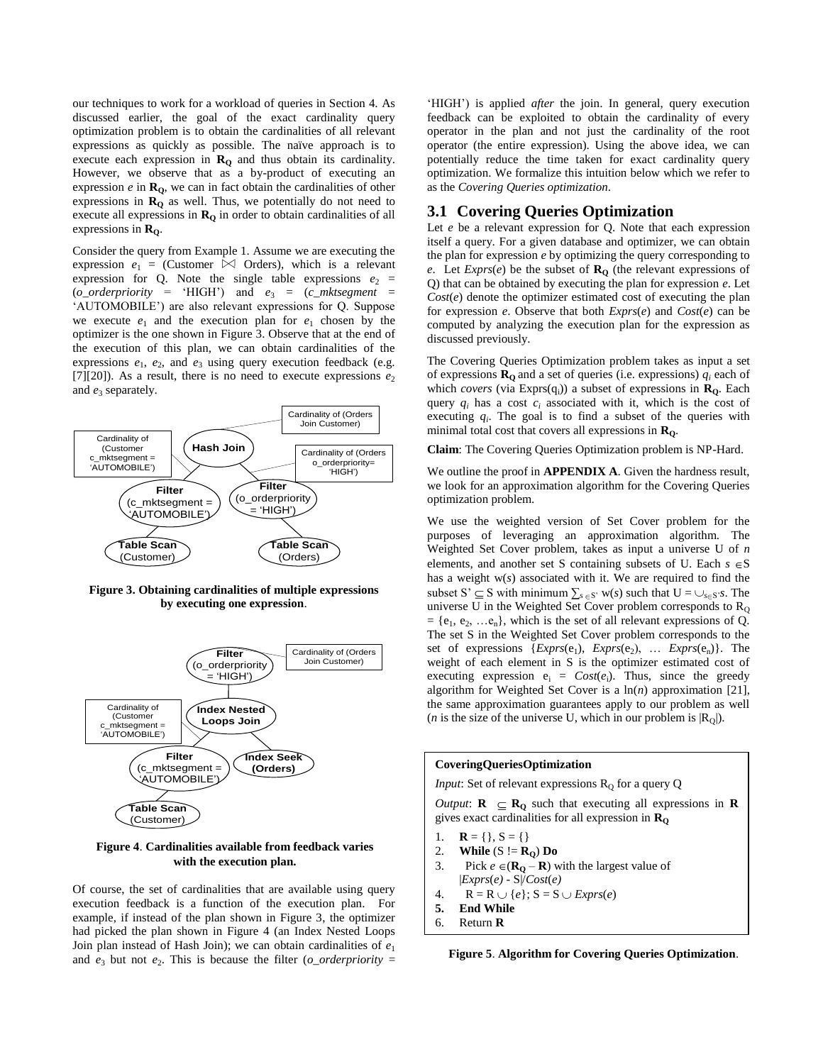our techniques to work for a workload of queries in Section 4. As discussed earlier, the goal of the exact cardinality query optimization problem is to obtain the cardinalities of all relevant expressions as quickly as possible. The naïve approach is to execute each expression in  $\mathbf{R}_{0}$  and thus obtain its cardinality. However, we observe that as a by-product of executing an expression  $e$  in  $\mathbf{R}_0$ , we can in fact obtain the cardinalities of other expressions in  $\mathbf{R}_{0}$  as well. Thus, we potentially do not need to execute all expressions in  $\mathbf{R}_{0}$  in order to obtain cardinalities of all expressions in **RQ**.

Consider the query from Example 1. Assume we are executing the expression  $e_1$  = (Customer  $\bowtie$  Orders), which is a relevant expression for Q. Note the single table expressions  $e_2$  =  $(o\_orderpriority = 'HIGH')$  and  $e_3 = (c\_mktsegment =$ 'AUTOMOBILE') are also relevant expressions for Q. Suppose we execute  $e_1$  and the execution plan for  $e_1$  chosen by the optimizer is the one shown in Figure 3. Observe that at the end of the execution of this plan, we can obtain cardinalities of the expressions  $e_1$ ,  $e_2$ , and  $e_3$  using query execution feedback (e.g. [\[7\]\[20\]\)](#page-11-4). As a result, there is no need to execute expressions  $e_2$ and  $e_3$  separately.



**Figure 3. Obtaining cardinalities of multiple expressions by executing one expression**.



**Figure 4**. **Cardinalities available from feedback varies with the execution plan.**

Of course, the set of cardinalities that are available using query execution feedback is a function of the execution plan. For example, if instead of the plan shown in Figure 3, the optimizer had picked the plan shown in Figure 4 (an Index Nested Loops Join plan instead of Hash Join); we can obtain cardinalities of *e*<sup>1</sup> and  $e_3$  but not  $e_2$ . This is because the filter (*o\_orderpriority* =

'HIGH') is applied *after* the join. In general, query execution feedback can be exploited to obtain the cardinality of every operator in the plan and not just the cardinality of the root operator (the entire expression). Using the above idea, we can potentially reduce the time taken for exact cardinality query optimization. We formalize this intuition below which we refer to as the *Covering Queries optimization*.

# **3.1 Covering Queries Optimization**

Let *e* be a relevant expression for Q. Note that each expression itself a query. For a given database and optimizer, we can obtain the plan for expression *e* by optimizing the query corresponding to *e*. Let *Exprs(e)* be the subset of  $\mathbf{R}_{\Omega}$  (the relevant expressions of Q) that can be obtained by executing the plan for expression *e*. Let  $Cost(e)$  denote the optimizer estimated cost of executing the plan for expression *e*. Observe that both *Exprs*(*e*) and *Cost*(*e*) can be computed by analyzing the execution plan for the expression as discussed previously.

The Covering Queries Optimization problem takes as input a set of expressions  $\mathbf{R}_{0}$  and a set of queries (i.e. expressions)  $q_i$  each of which *covers* (via Exprs(q<sup>i</sup> )) a subset of expressions in **RQ**. Each query  $q_i$  has a cost  $c_i$  associated with it, which is the cost of executing  $q_i$ . The goal is to find a subset of the queries with minimal total cost that covers all expressions in **RQ**.

**Claim**: The Covering Queries Optimization problem is NP-Hard.

We outline the proof in **APPENDIX A**. Given the hardness result, we look for an approximation algorithm for the Covering Queries optimization problem.

We use the weighted version of Set Cover problem for the purposes of leveraging an approximation algorithm. The Weighted Set Cover problem, takes as input a universe U of *n* elements, and another set S containing subsets of U. Each  $s \in S$ has a weight w(*s*) associated with it. We are required to find the subset S'  $\subseteq$  S with minimum  $\sum_{s \in S} w(s)$  such that  $U = \bigcup_{s \in S} s$ . The universe U in the Weighted Set Cover problem corresponds to  $R_0$  $= \{e_1, e_2, \dots e_n\}$ , which is the set of all relevant expressions of Q. The set S in the Weighted Set Cover problem corresponds to the set of expressions  $\{Express(e_1), Express(e_2), ... Express(e_n)\}.$  The weight of each element in S is the optimizer estimated cost of executing expression  $e_i = Cost(e_i)$ . Thus, since the greedy algorithm for Weighted Set Cover is a ln(*n*) approximation [\[21\],](#page-11-5) the same approximation guarantees apply to our problem as well (*n* is the size of the universe U, which in our problem is  $|R_0|$ ).

#### **CoveringQueriesOptimization**

*Input*: Set of relevant expressions  $R_0$  for a query Q

*Output*:  $\mathbf{R} \subseteq \mathbf{R_0}$  such that executing all expressions in **R** gives exact cardinalities for all expression in  $\mathbf{R}_{\mathbf{Q}}$ 

- 1. **R** = { $\}$ , **S** = {}
- 2. **While**  $(S := R_0)$  **Do**
- 3. Pick  $e \in (\mathbf{R}_0 \mathbf{R})$  with the largest value of |*Exprs*(*e)* - S|/*Cost*(*e)*
- 4.  $R = R \cup \{e\}; S = S \cup Express(e)$
- **5. End While**
- 6. Return **R**

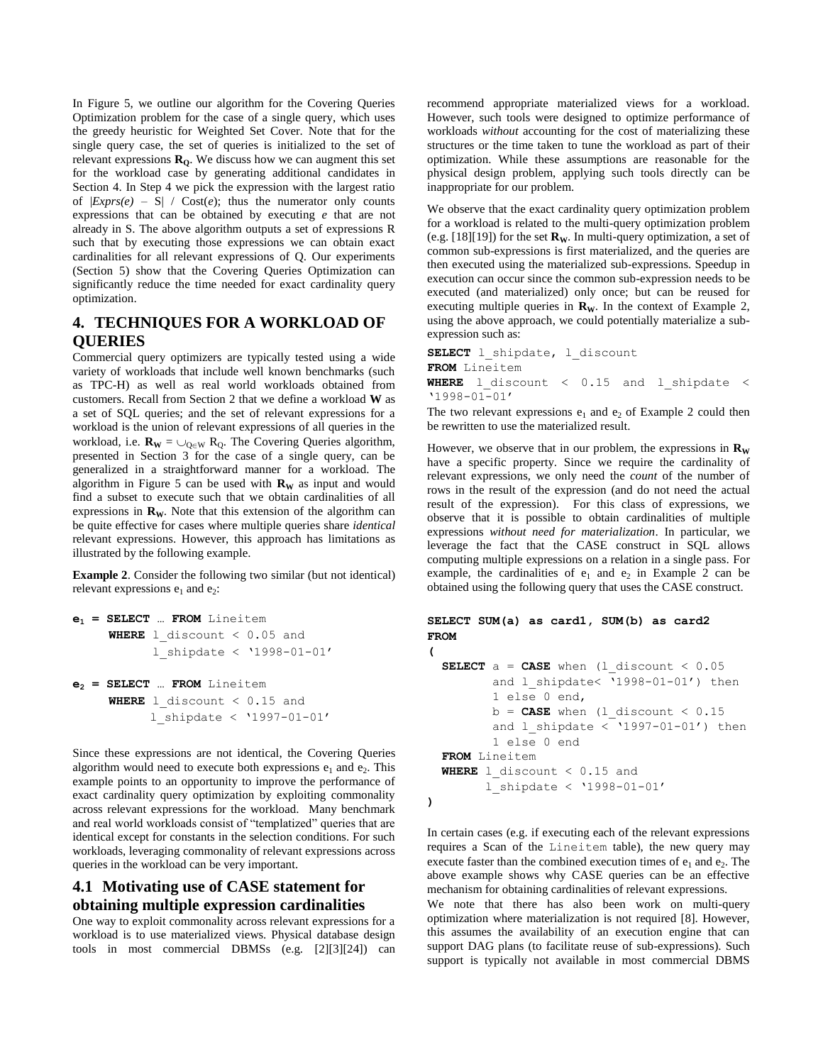In Figure 5, we outline our algorithm for the Covering Queries Optimization problem for the case of a single query, which uses the greedy heuristic for Weighted Set Cover. Note that for the single query case, the set of queries is initialized to the set of relevant expressions  $\mathbf{R}_{\Omega}$ . We discuss how we can augment this set for the workload case by generating additional candidates in Section 4. In Step 4 we pick the expression with the largest ratio of  $|Express(e) - S| / Cost(e);$  thus the numerator only counts expressions that can be obtained by executing *e* that are not already in S. The above algorithm outputs a set of expressions R such that by executing those expressions we can obtain exact cardinalities for all relevant expressions of Q. Our experiments (Section 5) show that the Covering Queries Optimization can significantly reduce the time needed for exact cardinality query optimization.

# **4. TECHNIQUES FOR A WORKLOAD OF QUERIES**

Commercial query optimizers are typically tested using a wide variety of workloads that include well known benchmarks (such as TPC-H) as well as real world workloads obtained from customers. Recall from Section 2 that we define a workload **W** as a set of SQL queries; and the set of relevant expressions for a workload is the union of relevant expressions of all queries in the workload, i.e.  $\mathbf{R}_W = \bigcup_{Q \in W} R_Q$ . The Covering Queries algorithm, presented in Section 3 for the case of a single query, can be generalized in a straightforward manner for a workload. The algorithm in Figure 5 can be used with  $\mathbf{R}_W$  as input and would find a subset to execute such that we obtain cardinalities of all expressions in  $\mathbf{R}_w$ . Note that this extension of the algorithm can be quite effective for cases where multiple queries share *identical* relevant expressions. However, this approach has limitations as illustrated by the following example.

**Example 2**. Consider the following two similar (but not identical) relevant expressions  $e_1$  and  $e_2$ :

```
e1 = SELECT … FROM Lineitem 
      WHERE l_discount < 0.05 and
            l_shipdate < '1998-01-01'
e2 = SELECT … FROM Lineitem 
      WHERE l_discount < 0.15 and
```

```
 l_shipdate < '1997-01-01'
```
Since these expressions are not identical, the Covering Queries algorithm would need to execute both expressions  $e_1$  and  $e_2$ . This example points to an opportunity to improve the performance of exact cardinality query optimization by exploiting commonality across relevant expressions for the workload. Many benchmark and real world workloads consist of "templatized" queries that are identical except for constants in the selection conditions. For such workloads, leveraging commonality of relevant expressions across queries in the workload can be very important.

# **4.1 Motivating use of CASE statement for obtaining multiple expression cardinalities**

One way to exploit commonality across relevant expressions for a workload is to use materialized views. Physical database design tools in most commercial DBMSs (e.g. [\[2\]\[3\]](#page-11-6)[\[24\]\)](#page-11-7) can recommend appropriate materialized views for a workload. However, such tools were designed to optimize performance of workloads *without* accounting for the cost of materializing these structures or the time taken to tune the workload as part of their optimization. While these assumptions are reasonable for the physical design problem, applying such tools directly can be inappropriate for our problem.

We observe that the exact cardinality query optimization problem for a workload is related to the multi-query optimization problem (e.g.  $[18][19]$ ) for the set  $\mathbf{R}_w$ . In multi-query optimization, a set of common sub-expressions is first materialized, and the queries are then executed using the materialized sub-expressions. Speedup in execution can occur since the common sub-expression needs to be executed (and materialized) only once; but can be reused for executing multiple queries in **R<sub>W</sub>**. In the context of Example 2, using the above approach, we could potentially materialize a subexpression such as:

SELECT 1 shipdate, 1 discount **FROM** Lineitem WHERE 1 discount < 0.15 and 1 shipdate <

'1998-01-01'

**)**

The two relevant expressions  $e_1$  and  $e_2$  of Example 2 could then be rewritten to use the materialized result.

However, we observe that in our problem, the expressions in  $\mathbf{R}_W$ have a specific property. Since we require the cardinality of relevant expressions, we only need the *count* of the number of rows in the result of the expression (and do not need the actual result of the expression). For this class of expressions, we observe that it is possible to obtain cardinalities of multiple expressions *without need for materialization*. In particular, we leverage the fact that the CASE construct in SQL allows computing multiple expressions on a relation in a single pass. For example, the cardinalities of  $e_1$  and  $e_2$  in Example 2 can be obtained using the following query that uses the CASE construct.

#### **SELECT SUM(a) as card1, SUM(b) as card2 FROM**

```
(
 SELECT a = CASE when (1 discount < 0.05and 1 shipdate< '1998-01-01') then
          1 else 0 end,
         b = \text{CASE} when (1 discount < 0.15and l shipdate \langle '1997-01-01') then
          1 else 0 end
  FROM Lineitem
  WHERE l_discount < 0.15 and 
         l_shipdate < '1998-01-01'
```
In certain cases (e.g. if executing each of the relevant expressions requires a Scan of the Lineitem table), the new query may execute faster than the combined execution times of  $e_1$  and  $e_2$ . The above example shows why CASE queries can be an effective mechanism for obtaining cardinalities of relevant expressions.

We note that there has also been work on multi-query optimization where materialization is not required [\[8\].](#page-11-8) However, this assumes the availability of an execution engine that can support DAG plans (to facilitate reuse of sub-expressions). Such support is typically not available in most commercial DBMS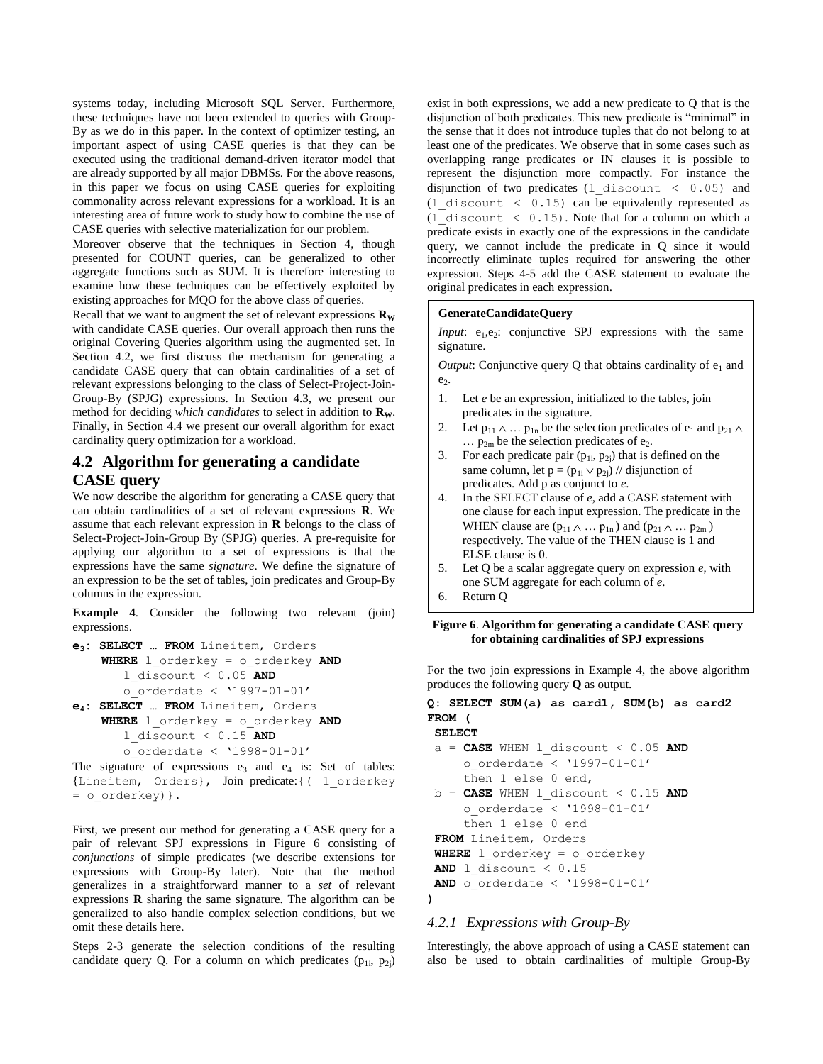systems today, including Microsoft SQL Server. Furthermore, these techniques have not been extended to queries with Group-By as we do in this paper. In the context of optimizer testing, an important aspect of using CASE queries is that they can be executed using the traditional demand-driven iterator model that are already supported by all major DBMSs. For the above reasons, in this paper we focus on using CASE queries for exploiting commonality across relevant expressions for a workload. It is an interesting area of future work to study how to combine the use of CASE queries with selective materialization for our problem.

Moreover observe that the techniques in Section 4, though presented for COUNT queries, can be generalized to other aggregate functions such as SUM. It is therefore interesting to examine how these techniques can be effectively exploited by existing approaches for MQO for the above class of queries.

Recall that we want to augment the set of relevant expressions  $\mathbf{R}_w$ with candidate CASE queries. Our overall approach then runs the original Covering Queries algorithm using the augmented set. In Section 4.2, we first discuss the mechanism for generating a candidate CASE query that can obtain cardinalities of a set of relevant expressions belonging to the class of Select-Project-Join-Group-By (SPJG) expressions. In Section 4.3, we present our method for deciding *which candidates* to select in addition to **RW**. Finally, in Section 4.4 we present our overall algorithm for exact cardinality query optimization for a workload.

# **4.2 Algorithm for generating a candidate CASE query**

We now describe the algorithm for generating a CASE query that can obtain cardinalities of a set of relevant expressions **R**. We assume that each relevant expression in **R** belongs to the class of Select-Project-Join-Group By (SPJG) queries. A pre-requisite for applying our algorithm to a set of expressions is that the expressions have the same *signature*. We define the signature of an expression to be the set of tables, join predicates and Group-By columns in the expression.

**Example 4**. Consider the following two relevant (join) expressions.

**e3: SELECT** … **FROM** Lineitem, Orders  **WHERE** l\_orderkey = o\_orderkey **AND** l\_discount < 0.05 **AND** o\_orderdate < '1997-01-01' **e4: SELECT** … **FROM** Lineitem, Orders  **WHERE** l\_orderkey = o\_orderkey **AND** l\_discount < 0.15 **AND** o\_orderdate < '1998-01-01'

The signature of expressions  $e_3$  and  $e_4$  is: Set of tables: {Lineitem, Orders}, Join predicate:{( l\_orderkey = o\_orderkey)}.

First, we present our method for generating a CASE query for a pair of relevant SPJ expressions in Figure 6 consisting of *conjunctions* of simple predicates (we describe extensions for expressions with Group-By later). Note that the method generalizes in a straightforward manner to a *set* of relevant expressions **R** sharing the same signature. The algorithm can be generalized to also handle complex selection conditions, but we omit these details here.

Steps 2-3 generate the selection conditions of the resulting candidate query Q. For a column on which predicates  $(p_{1i}, p_{2i})$  exist in both expressions, we add a new predicate to Q that is the disjunction of both predicates. This new predicate is "minimal" in the sense that it does not introduce tuples that do not belong to at least one of the predicates. We observe that in some cases such as overlapping range predicates or IN clauses it is possible to represent the disjunction more compactly. For instance the disjunction of two predicates  $(1 \text{ discount} < 0.05)$  and (l\_discount < 0.15) can be equivalently represented as (1 discount  $\langle$  0.15). Note that for a column on which a predicate exists in exactly one of the expressions in the candidate query, we cannot include the predicate in Q since it would incorrectly eliminate tuples required for answering the other expression. Steps 4-5 add the CASE statement to evaluate the original predicates in each expression.

#### **GenerateCandidateQuery**

*Input*: e<sub>1</sub>, e<sub>2</sub>: conjunctive SPJ expressions with the same signature.

*Output*: Conjunctive query Q that obtains cardinality of  $e_1$  and  $e_2$ .

- 1. Let *e* be an expression, initialized to the tables, join predicates in the signature.
- 2. Let  $p_{11} \wedge ... p_{1n}$  be the selection predicates of  $e_1$  and  $p_{21} \wedge ...$  $\ldots$  p<sub>2m</sub> be the selection predicates of e<sub>2</sub>.
- 3. For each predicate pair  $(p_{1i}, p_{2i})$  that is defined on the same column, let  $p = (p_{1i} \vee p_{2i})$  // disjunction of predicates. Add p as conjunct to *e*.
- 4. In the SELECT clause of *e*, add a CASE statement with one clause for each input expression. The predicate in the WHEN clause are  $(p_{11} \wedge ... p_{1n})$  and  $(p_{21} \wedge ... p_{2m})$ respectively. The value of the THEN clause is 1 and ELSE clause is 0.
- 5. Let Q be a scalar aggregate query on expression *e*, with one SUM aggregate for each column of *e*.
- 6. Return Q

#### **Figure 6**. **Algorithm for generating a candidate CASE query for obtaining cardinalities of SPJ expressions**

For the two join expressions in Example 4, the above algorithm produces the following query **Q** as output.

```
Q: SELECT SUM(a) as card1, SUM(b) as card2
FROM (
 SELECT 
 a = CASE WHEN 1 discount < 0.05 AND
      o_orderdate < '1997-01-01'
      then 1 else 0 end,
 b = CASE WHEN 1 discount < 0.15 AND
      o_orderdate < '1998-01-01' 
      then 1 else 0 end
 FROM Lineitem, Orders
 WHERE l_orderkey = o_orderkey 
 AND l discount < 0.15AND o_orderdate < '1998-01-01'
)
```
### *4.2.1 Expressions with Group-By*

Interestingly, the above approach of using a CASE statement can also be used to obtain cardinalities of multiple Group-By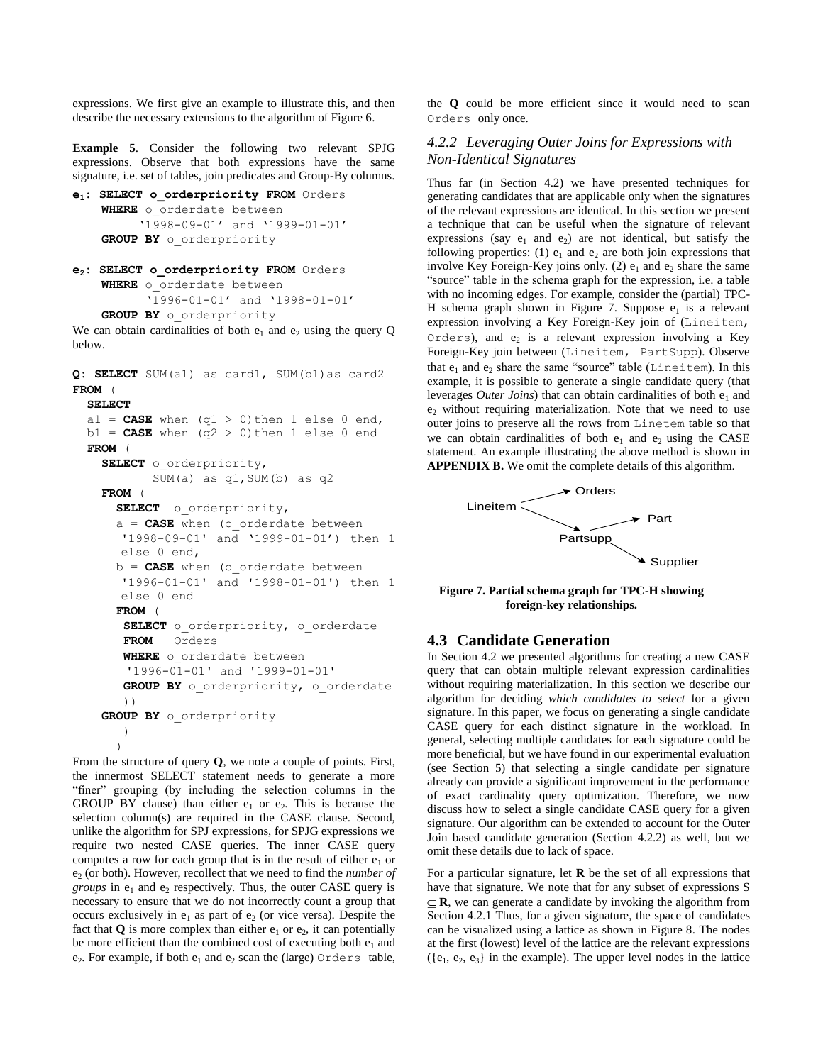expressions. We first give an example to illustrate this, and then describe the necessary extensions to the algorithm of Figure 6.

**Example 5**. Consider the following two relevant SPJG expressions. Observe that both expressions have the same signature, i.e. set of tables, join predicates and Group-By columns.

```
e1: SELECT o_orderpriority FROM Orders 
     WHERE o_orderdate between 
           '1998-09-01' and '1999-01-01'
     GROUP BY o_orderpriority
```

```
e2: SELECT o_orderpriority FROM Orders
     WHERE o_orderdate between 
           '1996-01-01' and '1998-01-01'
     GROUP BY o_orderpriority
```
We can obtain cardinalities of both  $e_1$  and  $e_2$  using the query Q below.

```
Q: SELECT SUM(a1) as card1, SUM(b1)as card2
FROM (
   SELECT
  a1 = CASE when (q1 > 0) then 1 else 0 end,
  b1 = CASE when (q2 > 0) then 1 else 0 end
   FROM (
    SELECT o orderpriority,
           SUM(a) as q1, SUM(b) as q2 FROM (
       SELECT o_orderpriority,
       a = CASE when (o_orderdate between 
       '1998-09-01' and '1999-01-01') then 1 
       else 0 end,
       b = CASE when (o_orderdate between 
       '1996-01-01' and '1998-01-01') then 1 
       else 0 end
       FROM (
        SELECT o_orderpriority, o_orderdate
        FROM Orders
        WHERE o_orderdate between 
         '1996-01-01' and '1999-01-01'
       GROUP BY o orderpriority, o orderdate
        )) 
     GROUP BY o_orderpriority
        )
       )
```
From the structure of query **Q**, we note a couple of points. First, the innermost SELECT statement needs to generate a more "finer" grouping (by including the selection columns in the GROUP BY clause) than either  $e_1$  or  $e_2$ . This is because the selection column(s) are required in the CASE clause. Second, unlike the algorithm for SPJ expressions, for SPJG expressions we require two nested CASE queries. The inner CASE query computes a row for each group that is in the result of either  $e_1$  or  $e_2$  (or both). However, recollect that we need to find the *number of groups* in  $e_1$  and  $e_2$  respectively. Thus, the outer CASE query is necessary to ensure that we do not incorrectly count a group that occurs exclusively in  $e_1$  as part of  $e_2$  (or vice versa). Despite the fact that  $Q$  is more complex than either  $e_1$  or  $e_2$ , it can potentially be more efficient than the combined cost of executing both  $e_1$  and  $e_2$ . For example, if both  $e_1$  and  $e_2$  scan the (large)  $\circ$ rders table, the **Q** could be more efficient since it would need to scan Orders only once.

# *4.2.2 Leveraging Outer Joins for Expressions with Non-Identical Signatures*

Thus far (in Section 4.2) we have presented techniques for generating candidates that are applicable only when the signatures of the relevant expressions are identical. In this section we present a technique that can be useful when the signature of relevant expressions (say  $e_1$  and  $e_2$ ) are not identical, but satisfy the following properties: (1)  $e_1$  and  $e_2$  are both join expressions that involve Key Foreign-Key joins only. (2)  $e_1$  and  $e_2$  share the same "source" table in the schema graph for the expression, i.e. a table with no incoming edges. For example, consider the (partial) TPC-H schema graph shown in Figure 7. Suppose  $e_1$  is a relevant expression involving a Key Foreign-Key join of (Lineitem, Orders), and  $e_2$  is a relevant expression involving a Key Foreign-Key join between (Lineitem, PartSupp). Observe that  $e_1$  and  $e_2$  share the same "source" table (Lineitem). In this example, it is possible to generate a single candidate query (that leverages *Outer Joins*) that can obtain cardinalities of both e<sub>1</sub> and  $e<sub>2</sub>$  without requiring materialization. Note that we need to use outer joins to preserve all the rows from Linetem table so that we can obtain cardinalities of both  $e_1$  and  $e_2$  using the CASE statement. An example illustrating the above method is shown in **APPENDIX B.** We omit the complete details of this algorithm.



**Figure 7. Partial schema graph for TPC-H showing foreign-key relationships.**

## **4.3 Candidate Generation**

In Section 4.2 we presented algorithms for creating a new CASE query that can obtain multiple relevant expression cardinalities without requiring materialization. In this section we describe our algorithm for deciding *which candidates to select* for a given signature. In this paper, we focus on generating a single candidate CASE query for each distinct signature in the workload. In general, selecting multiple candidates for each signature could be more beneficial, but we have found in our experimental evaluation (see Section 5) that selecting a single candidate per signature already can provide a significant improvement in the performance of exact cardinality query optimization. Therefore, we now discuss how to select a single candidate CASE query for a given signature. Our algorithm can be extended to account for the Outer Join based candidate generation (Section 4.2.2) as well, but we omit these details due to lack of space.

For a particular signature, let **R** be the set of all expressions that have that signature. We note that for any subset of expressions S  $\subseteq$  **R**, we can generate a candidate by invoking the algorithm from Section 4.2.1 Thus, for a given signature, the space of candidates can be visualized using a lattice as shown in Figure 8. The nodes at the first (lowest) level of the lattice are the relevant expressions  $({e<sub>1</sub>, e<sub>2</sub>, e<sub>3</sub>}$  in the example). The upper level nodes in the lattice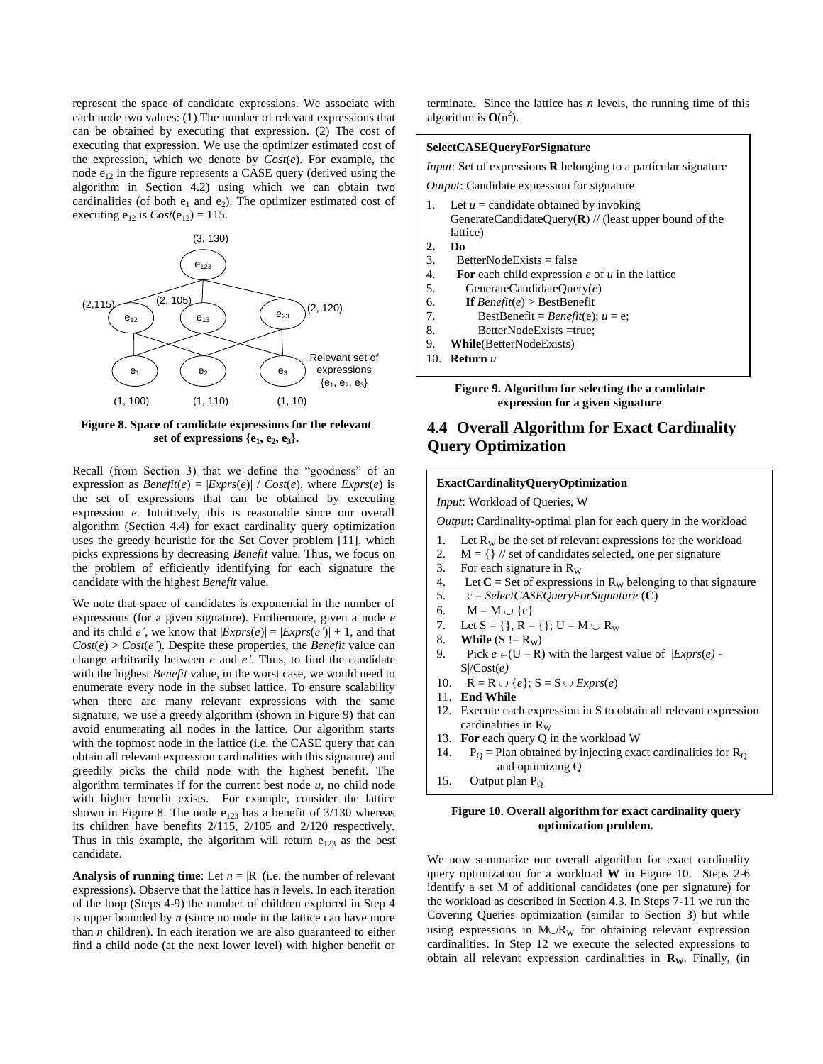represent the space of candidate expressions. We associate with each node two values: (1) The number of relevant expressions that can be obtained by executing that expression. (2) The cost of executing that expression. We use the optimizer estimated cost of the expression, which we denote by *Cost*(*e*). For example, the node  $e_{12}$  in the figure represents a CASE query (derived using the algorithm in Section 4.2) using which we can obtain two cardinalities (of both  $e_1$  and  $e_2$ ). The optimizer estimated cost of executing  $e_{12}$  is  $Cost(e_{12}) = 115$ .



**Figure 8. Space of candidate expressions for the relevant set of expressions {e<sup>1</sup> , e<sup>2</sup> , e3}.**

Recall (from Section 3) that we define the "goodness" of an expression as  $Benefit(e) = |Express(e)| / Cost(e)$ , where  $Express(e)$  is the set of expressions that can be obtained by executing expression *e*. Intuitively, this is reasonable since our overall algorithm (Section 4.4) for exact cardinality query optimization uses the greedy heuristic for the Set Cover problem [\[11\],](#page-11-9) which picks expressions by decreasing *Benefit* value. Thus, we focus on the problem of efficiently identifying for each signature the candidate with the highest *Benefit* value.

We note that space of candidates is exponential in the number of expressions (for a given signature). Furthermore, given a node *e* and its child *e'*, we know that  $|Express(e)| = |Express(e')| + 1$ , and that  $Cost(e) > Cost(e')$ . Despite these properties, the *Benefit* value can change arbitrarily between *e* and *e'*. Thus, to find the candidate with the highest *Benefit* value, in the worst case, we would need to enumerate every node in the subset lattice. To ensure scalability when there are many relevant expressions with the same signature, we use a greedy algorithm (shown in Figure 9) that can avoid enumerating all nodes in the lattice. Our algorithm starts with the topmost node in the lattice (i.e. the CASE query that can obtain all relevant expression cardinalities with this signature) and greedily picks the child node with the highest benefit. The algorithm terminates if for the current best node *u*, no child node with higher benefit exists. For example, consider the lattice shown in Figure 8. The node  $e_{123}$  has a benefit of 3/130 whereas its children have benefits 2/115, 2/105 and 2/120 respectively. Thus in this example, the algorithm will return  $e_{123}$  as the best candidate.

**Analysis of running time**: Let  $n = |R|$  (i.e. the number of relevant expressions). Observe that the lattice has *n* levels. In each iteration of the loop (Steps 4-9) the number of children explored in Step 4 is upper bounded by *n* (since no node in the lattice can have more than *n* children). In each iteration we are also guaranteed to either find a child node (at the next lower level) with higher benefit or

terminate. Since the lattice has *n* levels, the running time of this algorithm is  $O(n^2)$ .

#### **SelectCASEQueryForSignature**

*Input*: Set of expressions **R** belonging to a particular signature

*Output*: Candidate expression for signature

- 1. Let  $u =$  candidate obtained by invoking GenerateCandidateQuery(**R**) // (least upper bound of the lattice)
- **2. Do**
- 3. BetterNodeExists = false
- 4. **For** each child expression *e* of *u* in the lattice
- 5. GenerateCandidateQuery(*e*)
- 6. **If** *Benefit*(*e*) > BestBenefit
- 7. BestBenefit =  $Benefit(e)$ ;  $u = e$ ;
- 8. BetterNodeExists =true;
- 9. **While**(BetterNodeExists)
- 10. **Return** *u*

**Figure 9. Algorithm for selecting the a candidate expression for a given signature**

# **4.4 Overall Algorithm for Exact Cardinality Query Optimization**

#### **ExactCardinalityQueryOptimization**

*Input*: Workload of Queries, W

*Output*: Cardinality-optimal plan for each query in the workload

- 1. Let  $R_W$  be the set of relevant expressions for the workload<br>2.  $M = \{ \}$  // set of candidates selected, one per signature
- $M = \{\}\$  // set of candidates selected, one per signature
- 3. For each signature in  $R_W$ <br>4. Let  $C = Set$  of expression
- 4. Let  $\mathbf{C} = \text{Set}$  of expressions in  $\mathbf{R}_{\text{W}}$  belonging to that signature 5.  $c = \text{SelectCASEQueryForSienature}(\mathbf{C})$
- 5. c = *SelectCASEQueryForSignature* (**C**)
- 6.  $M = M \cup \{c\}$
- 7. Let  $S = \{\}, R = \{\}; U = M \cup R_W$
- 8. **While**  $(S := R_W)$
- 9. Pick  $e \in (U R)$  with the largest value of  $|Express(e) -$ S|/Cost(*e)*
- 10.  $R = R \cup \{e\}; S = S \cup Express(e)$
- 11. **End While**
- 12. Execute each expression in S to obtain all relevant expression cardinalities in  $\bar{R}_{w}$
- 13. **For** each query Q in the workload W
- 14.  $P_0$  = Plan obtained by injecting exact cardinalities for  $R_0$ and optimizing Q
- 15. Output plan  $P_{\text{O}}$

#### **Figure 10. Overall algorithm for exact cardinality query optimization problem.**

We now summarize our overall algorithm for exact cardinality query optimization for a workload **W** in Figure 10. Steps 2-6 identify a set M of additional candidates (one per signature) for the workload as described in Section 4.3. In Steps 7-11 we run the Covering Queries optimization (similar to Section 3) but while using expressions in  $M\! \cup\! R_W$  for obtaining relevant expression cardinalities. In Step 12 we execute the selected expressions to obtain all relevant expression cardinalities in **RW**. Finally, (in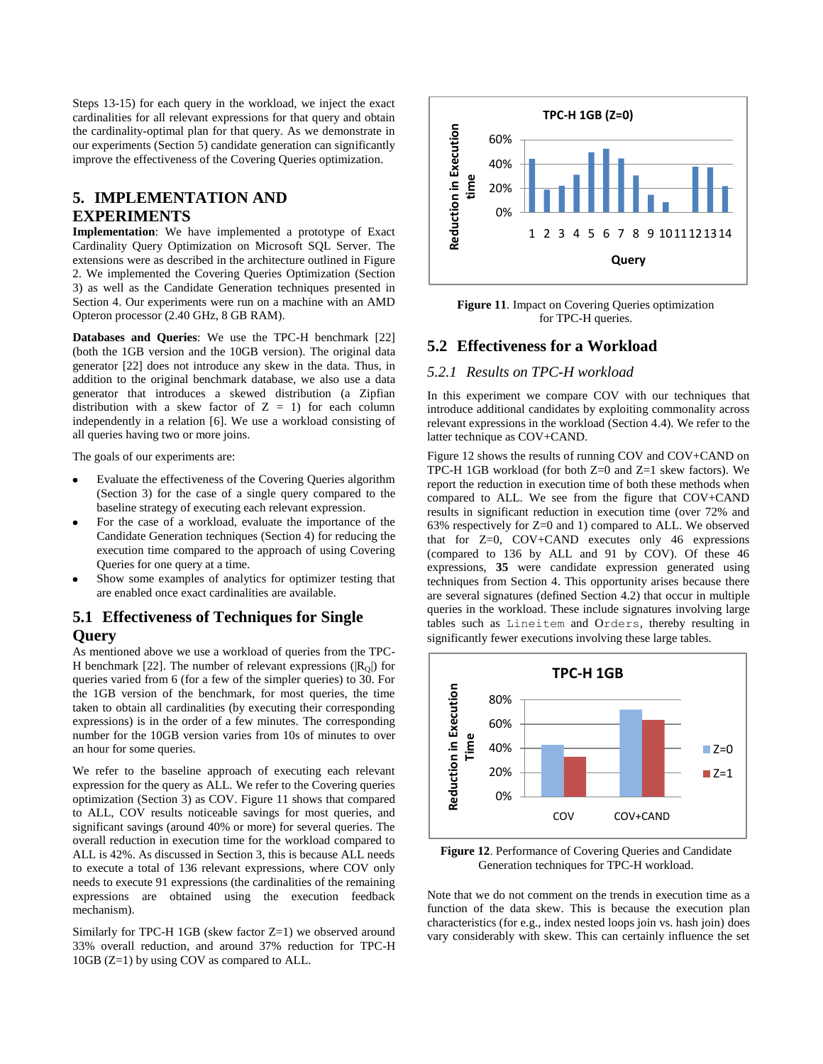Steps 13-15) for each query in the workload, we inject the exact cardinalities for all relevant expressions for that query and obtain the cardinality-optimal plan for that query. As we demonstrate in our experiments (Section 5) candidate generation can significantly improve the effectiveness of the Covering Queries optimization.

# **5. IMPLEMENTATION AND**

## **EXPERIMENTS**

**Implementation**: We have implemented a prototype of Exact Cardinality Query Optimization on Microsoft SQL Server. The extensions were as described in the architecture outlined in Figure 2. We implemented the Covering Queries Optimization (Section 3) as well as the Candidate Generation techniques presented in Section 4. Our experiments were run on a machine with an AMD Opteron processor (2.40 GHz, 8 GB RAM).

**Databases and Queries**: We use the TPC-H benchmark [\[22\]](#page-11-3) (both the 1GB version and the 10GB version). The original data generator [\[22\]](#page-11-3) does not introduce any skew in the data. Thus, in addition to the original benchmark database, we also use a data generator that introduces a skewed distribution (a Zipfian distribution with a skew factor of  $Z = 1$ ) for each column independently in a relation [\[6\].](#page-11-10) We use a workload consisting of all queries having two or more joins.

The goals of our experiments are:

- Evaluate the effectiveness of the Covering Queries algorithm (Section 3) for the case of a single query compared to the baseline strategy of executing each relevant expression.
- For the case of a workload, evaluate the importance of the Candidate Generation techniques (Section 4) for reducing the execution time compared to the approach of using Covering Queries for one query at a time.
- Show some examples of analytics for optimizer testing that are enabled once exact cardinalities are available.

# **5.1 Effectiveness of Techniques for Single Query**

As mentioned above we use a workload of queries from the TPC-H benchmark [\[22\].](#page-11-3) The number of relevant expressions  $(|R_0|)$  for queries varied from 6 (for a few of the simpler queries) to 30. For the 1GB version of the benchmark, for most queries, the time taken to obtain all cardinalities (by executing their corresponding expressions) is in the order of a few minutes. The corresponding number for the 10GB version varies from 10s of minutes to over an hour for some queries.

We refer to the baseline approach of executing each relevant expression for the query as ALL. We refer to the Covering queries optimization (Section 3) as COV. Figure 11 shows that compared to ALL, COV results noticeable savings for most queries, and significant savings (around 40% or more) for several queries. The overall reduction in execution time for the workload compared to ALL is 42%. As discussed in Section 3, this is because ALL needs to execute a total of 136 relevant expressions, where COV only needs to execute 91 expressions (the cardinalities of the remaining expressions are obtained using the execution feedback mechanism).

Similarly for TPC-H 1GB (skew factor Z=1) we observed around 33% overall reduction, and around 37% reduction for TPC-H 10GB (Z=1) by using COV as compared to ALL.



**Figure 11**. Impact on Covering Queries optimization for TPC-H queries.

## **5.2 Effectiveness for a Workload**

### *5.2.1 Results on TPC-H workload*

In this experiment we compare COV with our techniques that introduce additional candidates by exploiting commonality across relevant expressions in the workload (Section 4.4). We refer to the latter technique as COV+CAND.

Figure 12 shows the results of running COV and COV+CAND on TPC-H 1GB workload (for both Z=0 and Z=1 skew factors). We report the reduction in execution time of both these methods when compared to ALL. We see from the figure that COV+CAND results in significant reduction in execution time (over 72% and 63% respectively for Z=0 and 1) compared to ALL. We observed that for Z=0, COV+CAND executes only 46 expressions (compared to 136 by ALL and 91 by COV). Of these 46 expressions, **35** were candidate expression generated using techniques from Section 4. This opportunity arises because there are several signatures (defined Section 4.2) that occur in multiple queries in the workload. These include signatures involving large tables such as Lineitem and Orders, thereby resulting in significantly fewer executions involving these large tables.



**Figure 12**. Performance of Covering Queries and Candidate Generation techniques for TPC-H workload.

Note that we do not comment on the trends in execution time as a function of the data skew. This is because the execution plan characteristics (for e.g., index nested loops join vs. hash join) does vary considerably with skew. This can certainly influence the set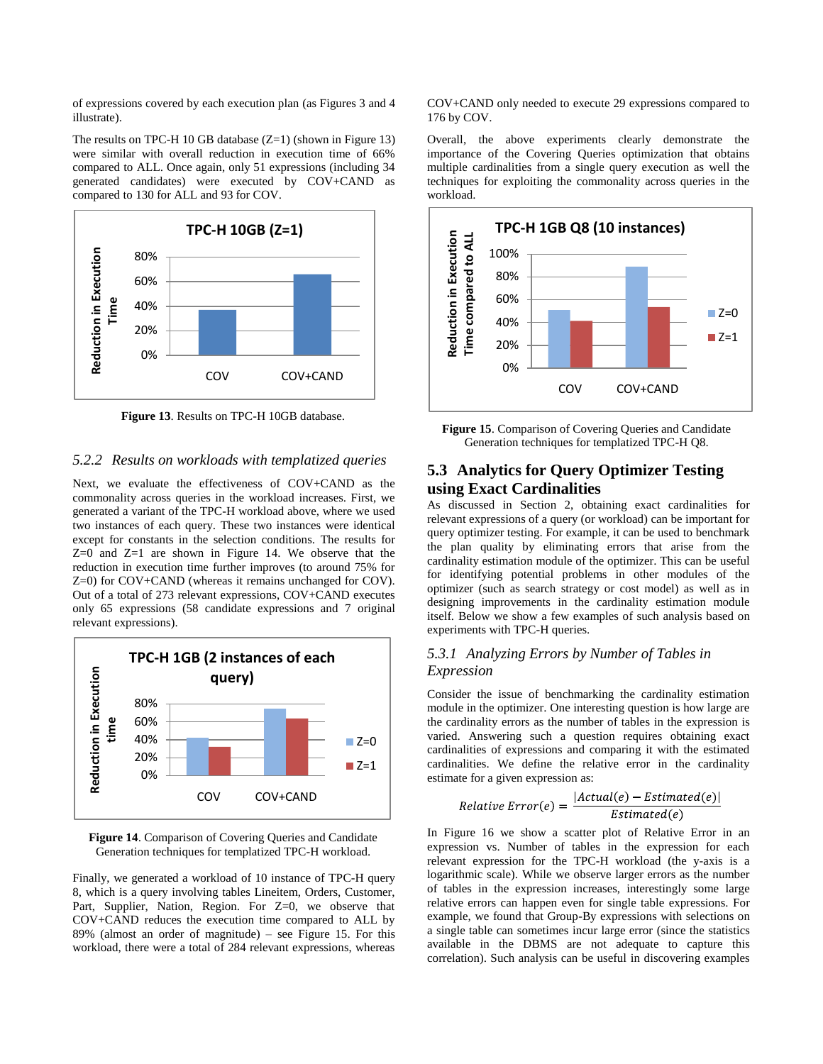of expressions covered by each execution plan (as Figures 3 and 4 illustrate).

The results on TPC-H 10 GB database  $(Z=1)$  (shown in Figure 13) were similar with overall reduction in execution time of 66% compared to ALL. Once again, only 51 expressions (including 34 generated candidates) were executed by COV+CAND as compared to 130 for ALL and 93 for COV.



**Figure 13**. Results on TPC-H 10GB database.

### *5.2.2 Results on workloads with templatized queries*

Next, we evaluate the effectiveness of COV+CAND as the commonality across queries in the workload increases. First, we generated a variant of the TPC-H workload above, where we used two instances of each query. These two instances were identical except for constants in the selection conditions. The results for  $Z=0$  and  $Z=1$  are shown in Figure 14. We observe that the reduction in execution time further improves (to around 75% for Z=0) for COV+CAND (whereas it remains unchanged for COV). Out of a total of 273 relevant expressions, COV+CAND executes only 65 expressions (58 candidate expressions and 7 original relevant expressions).



**Figure 14**. Comparison of Covering Queries and Candidate Generation techniques for templatized TPC-H workload.

Finally, we generated a workload of 10 instance of TPC-H query 8, which is a query involving tables Lineitem, Orders, Customer, Part, Supplier, Nation, Region. For Z=0, we observe that COV+CAND reduces the execution time compared to ALL by 89% (almost an order of magnitude) – see Figure 15. For this workload, there were a total of 284 relevant expressions, whereas

COV+CAND only needed to execute 29 expressions compared to 176 by COV.

Overall, the above experiments clearly demonstrate the importance of the Covering Queries optimization that obtains multiple cardinalities from a single query execution as well the techniques for exploiting the commonality across queries in the workload.



**Figure 15**. Comparison of Covering Queries and Candidate Generation techniques for templatized TPC-H Q8.

# **5.3 Analytics for Query Optimizer Testing using Exact Cardinalities**

As discussed in Section 2, obtaining exact cardinalities for relevant expressions of a query (or workload) can be important for query optimizer testing. For example, it can be used to benchmark the plan quality by eliminating errors that arise from the cardinality estimation module of the optimizer. This can be useful for identifying potential problems in other modules of the optimizer (such as search strategy or cost model) as well as in designing improvements in the cardinality estimation module itself. Below we show a few examples of such analysis based on experiments with TPC-H queries.

### *5.3.1 Analyzing Errors by Number of Tables in Expression*

Consider the issue of benchmarking the cardinality estimation module in the optimizer. One interesting question is how large are the cardinality errors as the number of tables in the expression is varied. Answering such a question requires obtaining exact cardinalities of expressions and comparing it with the estimated cardinalities. We define the relative error in the cardinality estimate for a given expression as:

$$
Relative Error(e) = \frac{|Actual(e) - Estimated(e)|}{Estimated(e)}
$$

In Figure 16 we show a scatter plot of Relative Error in an expression vs. Number of tables in the expression for each relevant expression for the TPC-H workload (the y-axis is a logarithmic scale). While we observe larger errors as the number of tables in the expression increases, interestingly some large relative errors can happen even for single table expressions. For example, we found that Group-By expressions with selections on a single table can sometimes incur large error (since the statistics available in the DBMS are not adequate to capture this correlation). Such analysis can be useful in discovering examples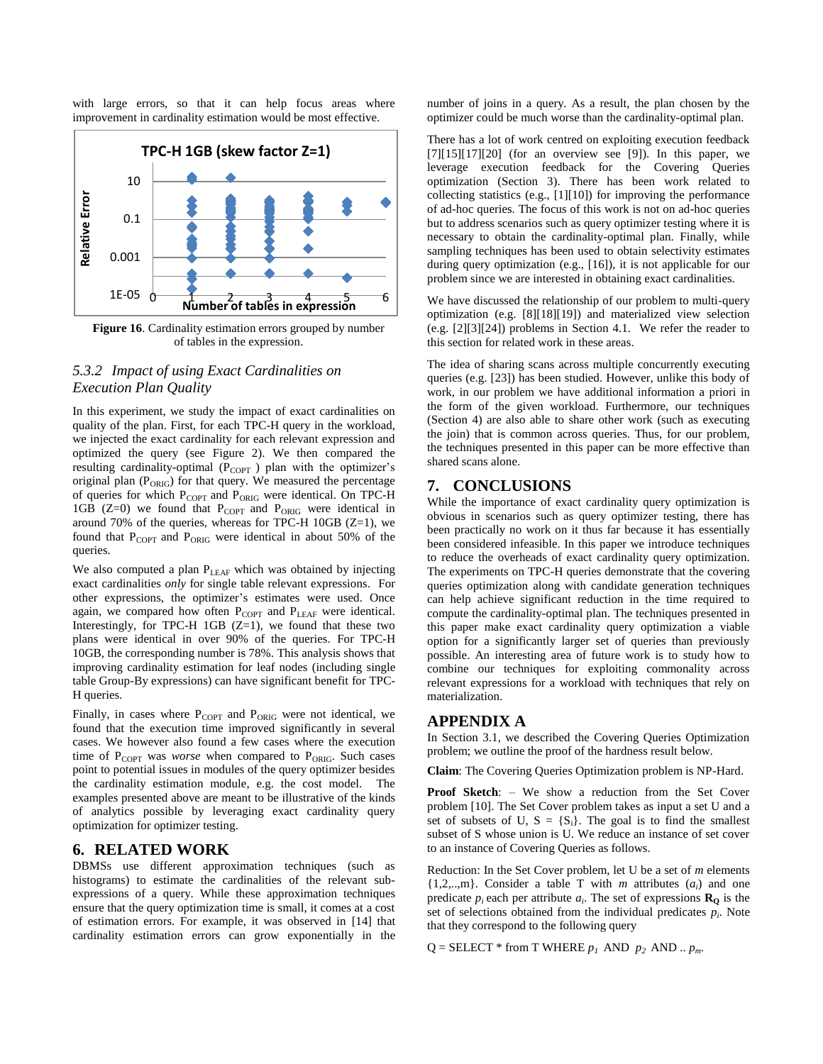with large errors, so that it can help focus areas where improvement in cardinality estimation would be most effective.



**Figure 16.** Cardinality estimation errors grouped by number of tables in the expression.

### *5.3.2 Impact of using Exact Cardinalities on Execution Plan Quality*

In this experiment, we study the impact of exact cardinalities on quality of the plan. First, for each TPC-H query in the workload, we injected the exact cardinality for each relevant expression and optimized the query (see Figure 2). We then compared the resulting cardinality-optimal ( $P_{\text{COPT}}$ ) plan with the optimizer's original plan (P<sub>ORIG</sub>) for that query. We measured the percentage of queries for which  $P_{\text{COPT}}$  and  $P_{\text{ORIG}}$  were identical. On TPC-H 1GB ( $Z=0$ ) we found that  $P_{COPT}$  and  $P_{ORIG}$  were identical in around 70% of the queries, whereas for TPC-H 10GB (Z=1), we found that  $P_{\text{COPT}}$  and  $P_{\text{ORIG}}$  were identical in about 50% of the queries.

We also computed a plan P<sub>LEAF</sub> which was obtained by injecting exact cardinalities *only* for single table relevant expressions. For other expressions, the optimizer"s estimates were used. Once again, we compared how often  $P_{COPT}$  and  $P_{LEAF}$  were identical. Interestingly, for TPC-H 1GB  $(Z=1)$ , we found that these two plans were identical in over 90% of the queries. For TPC-H 10GB, the corresponding number is 78%. This analysis shows that improving cardinality estimation for leaf nodes (including single table Group-By expressions) can have significant benefit for TPC-H queries.

Finally, in cases where  $P_{\text{COPT}}$  and  $P_{\text{ORIG}}$  were not identical, we found that the execution time improved significantly in several cases. We however also found a few cases where the execution time of  $P_{COPT}$  was *worse* when compared to  $P_{ORIG}$ . Such cases point to potential issues in modules of the query optimizer besides the cardinality estimation module, e.g. the cost model. The examples presented above are meant to be illustrative of the kinds of analytics possible by leveraging exact cardinality query optimization for optimizer testing.

### **6. RELATED WORK**

DBMSs use different approximation techniques (such as histograms) to estimate the cardinalities of the relevant subexpressions of a query. While these approximation techniques ensure that the query optimization time is small, it comes at a cost of estimation errors. For example, it was observed in [\[14\]](#page-11-0) that cardinality estimation errors can grow exponentially in the number of joins in a query. As a result, the plan chosen by the optimizer could be much worse than the cardinality-optimal plan.

There has a lot of work centred on exploiting execution feedback  $[7][15][17][20]$  $[7][15][17][20]$  (for an overview see [\[9\]\)](#page-11-12). In this paper, we leverage execution feedback for the Covering Queries optimization (Section 3). There has been work related to collecting statistics (e.g., [\[1\]\[10\]\)](#page-11-13) for improving the performance of ad-hoc queries. The focus of this work is not on ad-hoc queries but to address scenarios such as query optimizer testing where it is necessary to obtain the cardinality-optimal plan. Finally, while sampling techniques has been used to obtain selectivity estimates during query optimization (e.g., [\[16\]\)](#page-11-14), it is not applicable for our problem since we are interested in obtaining exact cardinalities.

We have discussed the relationship of our problem to multi-query optimization (e.g. [\[8\]\[18\]](#page-11-8)[\[19\]\)](#page-11-15) and materialized view selection (e.g. [\[2\]\[3\]](#page-11-6)[\[24\]\)](#page-11-7) problems in Section 4.1. We refer the reader to this section for related work in these areas.

The idea of sharing scans across multiple concurrently executing queries (e.g. [\[23\]\)](#page-11-16) has been studied. However, unlike this body of work, in our problem we have additional information a priori in the form of the given workload. Furthermore, our techniques (Section 4) are also able to share other work (such as executing the join) that is common across queries. Thus, for our problem, the techniques presented in this paper can be more effective than shared scans alone.

# **7. CONCLUSIONS**

While the importance of exact cardinality query optimization is obvious in scenarios such as query optimizer testing, there has been practically no work on it thus far because it has essentially been considered infeasible. In this paper we introduce techniques to reduce the overheads of exact cardinality query optimization. The experiments on TPC-H queries demonstrate that the covering queries optimization along with candidate generation techniques can help achieve significant reduction in the time required to compute the cardinality-optimal plan. The techniques presented in this paper make exact cardinality query optimization a viable option for a significantly larger set of queries than previously possible. An interesting area of future work is to study how to combine our techniques for exploiting commonality across relevant expressions for a workload with techniques that rely on materialization.

### **APPENDIX A**

In Section 3.1, we described the Covering Queries Optimization problem; we outline the proof of the hardness result below.

**Claim**: The Covering Queries Optimization problem is NP-Hard.

**Proof Sketch**: – We show a reduction from the Set Cover problem [\[10\].](#page-11-17) The Set Cover problem takes as input a set U and a set of subsets of U,  $S = \{S_i\}$ . The goal is to find the smallest subset of S whose union is U. We reduce an instance of set cover to an instance of Covering Queries as follows.

Reduction: In the Set Cover problem, let U be a set of *m* elements  ${1,2,...,m}$ . Consider a table T with *m* attributes  $(a_i)$  and one predicate  $p_i$  each per attribute  $a_i$ . The set of expressions  $\mathbf{R}_{\mathbf{Q}}$  is the set of selections obtained from the individual predicates  $p_i$ . Note that they correspond to the following query

 $Q =$  SELECT \* from T WHERE  $p_1$  AND  $p_2$  AND ..  $p_m$ .